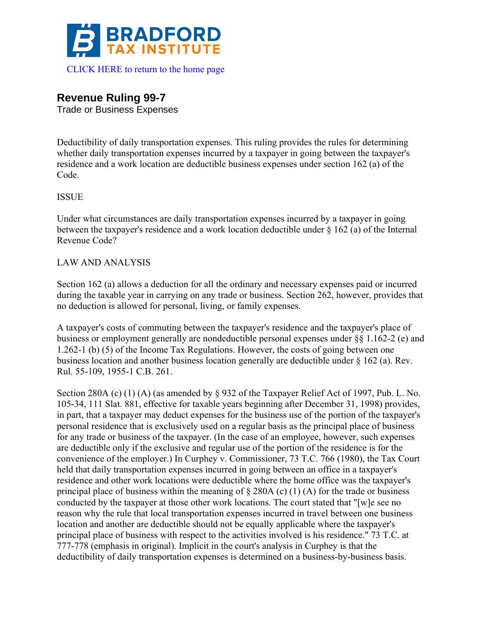

# **Revenue Ruling 99-7**

Trade or Business Expenses

Deductibility of daily transportation expenses. This ruling provides the rules for determining whether daily transportation expenses incurred by a taxpayer in going between the taxpayer's residence and a work location are deductible business expenses under section 162 (a) of the Code.

# ISSUE

Under what circumstances are daily transportation expenses incurred by a taxpayer in going between the taxpayer's residence and a work location deductible under § 162 (a) of the Internal Revenue Code?

## LAW AND ANALYSIS

Section 162 (a) allows a deduction for all the ordinary and necessary expenses paid or incurred during the taxable year in carrying on any trade or business. Section 262, however, provides that no deduction is allowed for personal, living, or family expenses.

A taxpayer's costs of commuting between the taxpayer's residence and the taxpayer's place of business or employment generally are nondeductible personal expenses under §§ 1.162-2 (e) and 1.262-1 (b) (5) of the Income Tax Regulations. However, the costs of going between one business location and another business location generally are deductible under § 162 (a). Rev. Rul. 55-109, 1955-1 C.B. 261.

Section 280A (c) (1) (A) (as amended by § 932 of the Taxpayer Relief Act of 1997, Pub. L. No. 105-34, 111 Slat. 881, effective for taxable years beginning after December 31, 1998) provides, in part, that a taxpayer may deduct expenses for the business use of the portion of the taxpayer's personal residence that is exclusively used on a regular basis as the principal place of business for any trade or business of the taxpayer. (In the case of an employee, however, such expenses are deductible only if the exclusive and regular use of the portion of the residence is for the convenience of the employer.) In Curphey v. Commissioner, 73 T.C. 766 (1980), the Tax Court held that daily transportation expenses incurred in going between an office in a taxpayer's residence and other work locations were deductible where the home office was the taxpayer's principal place of business within the meaning of  $\S 280A (c) (1) (A)$  for the trade or business conducted by the taxpayer at those other work locations. The court stated that "[w]e see no reason why the rule that local transportation expenses incurred in travel between one business location and another are deductible should not be equally applicable where the taxpayer's principal place of business with respect to the activities involved is his residence." 73 T.C. at 777-778 (emphasis in original). Implicit in the court's analysis in Curphey is that the deductibility of daily transportation expenses is determined on a business-by-business basis.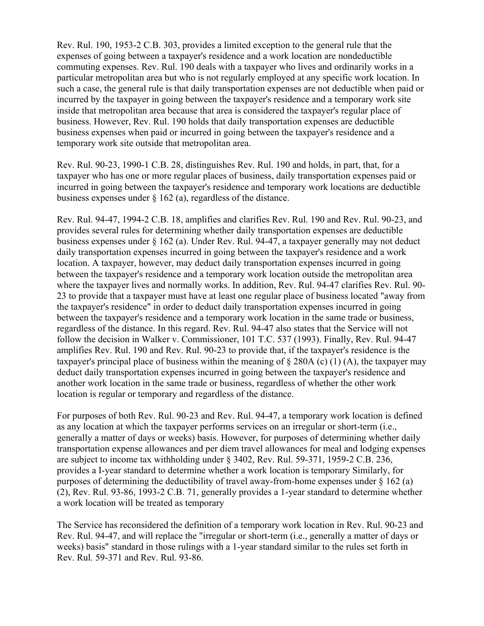Rev. Rul. 190, 1953-2 C.B. 303, provides a limited exception to the general rule that the expenses of going between a taxpayer's residence and a work location are nondeductible commuting expenses. Rev. Rul. 190 deals with a taxpayer who lives and ordinarily works in a particular metropolitan area but who is not regularly employed at any specific work location. In such a case, the general rule is that daily transportation expenses are not deductible when paid or incurred by the taxpayer in going between the taxpayer's residence and a temporary work site inside that metropolitan area because that area is considered the taxpayer's regular place of business. However, Rev. Rul. 190 holds that daily transportation expenses are deductible business expenses when paid or incurred in going between the taxpayer's residence and a temporary work site outside that metropolitan area.

Rev. Rul. 90-23, 1990-1 C.B. 28, distinguishes Rev. Rul. 190 and holds, in part, that, for a taxpayer who has one or more regular places of business, daily transportation expenses paid or incurred in going between the taxpayer's residence and temporary work locations are deductible business expenses under § 162 (a), regardless of the distance.

Rev. Rul. 94-47, 1994-2 C.B. 18, amplifies and clarifies Rev. Rul. 190 and Rev. Rul. 90-23, and provides several rules for determining whether daily transportation expenses are deductible business expenses under § 162 (a). Under Rev. Rul. 94-47, a taxpayer generally may not deduct daily transportation expenses incurred in going between the taxpayer's residence and a work location. A taxpayer, however, may deduct daily transportation expenses incurred in going between the taxpayer's residence and a temporary work location outside the metropolitan area where the taxpayer lives and normally works. In addition, Rev. Rul. 94-47 clarifies Rev. Rul. 90- 23 to provide that a taxpayer must have at least one regular place of business located "away from the taxpayer's residence" in order to deduct daily transportation expenses incurred in going between the taxpayer's residence and a temporary work location in the same trade or business, regardless of the distance. In this regard. Rev. Rul. 94-47 also states that the Service will not follow the decision in Walker v. Commissioner, 101 T.C. 537 (1993). Finally, Rev. Rul. 94-47 amplifies Rev. Rul. 190 and Rev. Rul. 90-23 to provide that, if the taxpayer's residence is the taxpayer's principal place of business within the meaning of  $\S 280A$  (c) (1) (A), the taxpayer may deduct daily transportation expenses incurred in going between the taxpayer's residence and another work location in the same trade or business, regardless of whether the other work location is regular or temporary and regardless of the distance.

For purposes of both Rev. Rul. 90-23 and Rev. Rul. 94-47, a temporary work location is defined as any location at which the taxpayer performs services on an irregular or short-term (i.e., generally a matter of days or weeks) basis. However, for purposes of determining whether daily transportation expense allowances and per diem travel allowances for meal and lodging expenses are subject to income tax withholding under § 3402, Rev. Rul. 59-371, 1959-2 C.B. 236, provides a I-year standard to determine whether a work location is temporary Similarly, for purposes of determining the deductibility of travel away-from-home expenses under  $\S$  162 (a) (2), Rev. Rul. 93-86, 1993-2 C.B. 71, generally provides a 1-year standard to determine whether a work location will be treated as temporary

The Service has reconsidered the definition of a temporary work location in Rev. Rul. 90-23 and Rev. Rul. 94-47, and will replace the "irregular or short-term (i.e., generally a matter of days or weeks) basis" standard in those rulings with a 1-year standard similar to the rules set forth in Rev. Rul. 59-371 and Rev. Rul. 93-86.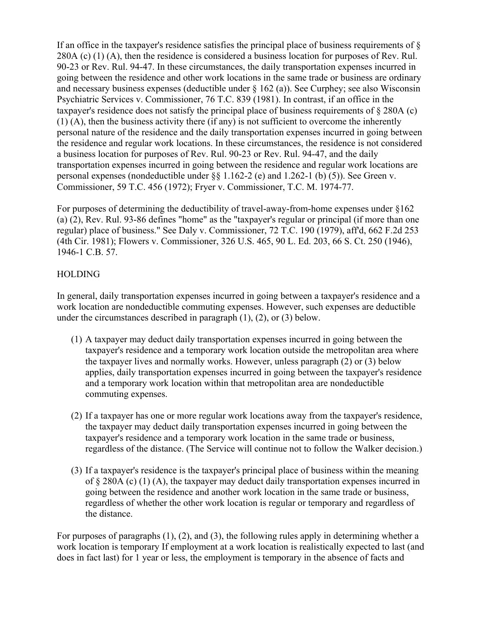If an office in the taxpayer's residence satisfies the principal place of business requirements of § 280A (c)  $(1)$  (A), then the residence is considered a business location for purposes of Rev. Rul. 90-23 or Rev. Rul. 94-47. In these circumstances, the daily transportation expenses incurred in going between the residence and other work locations in the same trade or business are ordinary and necessary business expenses (deductible under § 162 (a)). See Curphey; see also Wisconsin Psychiatric Services v. Commissioner, 76 T.C. 839 (1981). In contrast, if an office in the taxpayer's residence does not satisfy the principal place of business requirements of § 280A (c) (1) (A), then the business activity there (if any) is not sufficient to overcome the inherently personal nature of the residence and the daily transportation expenses incurred in going between the residence and regular work locations. In these circumstances, the residence is not considered a business location for purposes of Rev. Rul. 90-23 or Rev. Rul. 94-47, and the daily transportation expenses incurred in going between the residence and regular work locations are personal expenses (nondeductible under §§ 1.162-2 (e) and 1.262-1 (b) (5)). See Green v. Commissioner, 59 T.C. 456 (1972); Fryer v. Commissioner, T.C. M. 1974-77.

For purposes of determining the deductibility of travel-away-from-home expenses under §162 (a) (2), Rev. Rul. 93-86 defines "home" as the "taxpayer's regular or principal (if more than one regular) place of business." See Daly v. Commissioner, 72 T.C. 190 (1979), aff'd, 662 F.2d 253 (4th Cir. 1981); Flowers v. Commissioner, 326 U.S. 465, 90 L. Ed. 203, 66 S. Ct. 250 (1946), 1946-1 C.B. 57.

#### HOLDING

In general, daily transportation expenses incurred in going between a taxpayer's residence and a work location are nondeductible commuting expenses. However, such expenses are deductible under the circumstances described in paragraph  $(1)$ ,  $(2)$ , or  $(3)$  below.

- (1) A taxpayer may deduct daily transportation expenses incurred in going between the taxpayer's residence and a temporary work location outside the metropolitan area where the taxpayer lives and normally works. However, unless paragraph (2) or (3) below applies, daily transportation expenses incurred in going between the taxpayer's residence and a temporary work location within that metropolitan area are nondeductible commuting expenses.
- (2) If a taxpayer has one or more regular work locations away from the taxpayer's residence, the taxpayer may deduct daily transportation expenses incurred in going between the taxpayer's residence and a temporary work location in the same trade or business, regardless of the distance. (The Service will continue not to follow the Walker decision.)
- (3) If a taxpayer's residence is the taxpayer's principal place of business within the meaning of  $\S 280A$  (c) (1) (A), the taxpayer may deduct daily transportation expenses incurred in going between the residence and another work location in the same trade or business, regardless of whether the other work location is regular or temporary and regardless of the distance.

For purposes of paragraphs (1), (2), and (3), the following rules apply in determining whether a work location is temporary If employment at a work location is realistically expected to last (and does in fact last) for 1 year or less, the employment is temporary in the absence of facts and